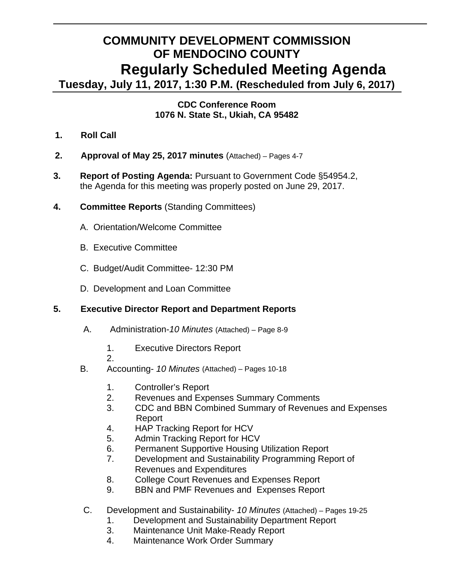# **COMMUNITY DEVELOPMENT COMMISSION OF MENDOCINO COUNTY Regularly Scheduled Meeting Agenda**

**Tuesday, July 11, 2017, 1:30 P.M. (Rescheduled from July 6, 2017)** 

## **CDC Conference Room 1076 N. State St., Ukiah, CA 95482**

- **1. Roll Call**
- **2. Approval of May 25, 2017 minutes** (Attached) Pages 4-7
- **3. Report of Posting Agenda:** Pursuant to Government Code §54954.2, the Agenda for this meeting was properly posted on June 29, 2017.
- **4. Committee Reports** (Standing Committees)
	- A.Orientation/Welcome Committee
	- B. Executive Committee
	- C. Budget/Audit Committee- 12:30 PM
	- D. Development and Loan Committee

# **5. Executive Director Report and Department Reports**

- A. Administration-*10 Minutes* (Attached) Page 8-9
	- 1. Executive Directors Report
	- 2.
- B. Accounting- *10 Minutes* (Attached) Pages 10-18
	- 1. Controller's Report
	- 2. Revenues and Expenses Summary Comments
	- 3. CDC and BBN Combined Summary of Revenues and Expenses Report
	- 4. HAP Tracking Report for HCV
	- 5. Admin Tracking Report for HCV
	- 6. Permanent Supportive Housing Utilization Report
	- 7. Development and Sustainability Programming Report of Revenues and Expenditures
	- 8. College Court Revenues and Expenses Report
	- 9. BBN and PMF Revenues and Expenses Report
- C. Development and Sustainability- *10 Minutes* (Attached) Pages 19-25
	- 1. Development and Sustainability Department Report
	- 3. Maintenance Unit Make-Ready Report
	- 4. Maintenance Work Order Summary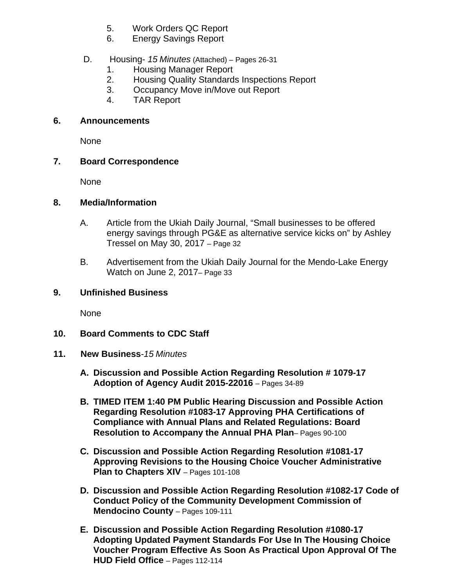- 5. Work Orders QC Report
- 6. Energy Savings Report

# D. Housing- *15 Minutes* (Attached) *–* Pages 26-31

- 1. Housing Manager Report
- 2. Housing Quality Standards Inspections Report
- 3. Occupancy Move in/Move out Report
- 4. TAR Report

#### **6. Announcements**

None

### **7. Board Correspondence**

None

### **8. Media/Information**

- A. Article from the Ukiah Daily Journal, "Small businesses to be offered energy savings through PG&E as alternative service kicks on" by Ashley Tressel on May 30, 2017 – Page 32
- B. Advertisement from the Ukiah Daily Journal for the Mendo-Lake Energy Watch on June 2, 2017– Page 33

## **9. Unfinished Business**

None

## **10. Board Comments to CDC Staff**

- **11. New Business***-15 Minutes*
	- **A. Discussion and Possible Action Regarding Resolution # 1079-17 Adoption of Agency Audit 2015-22016** – Pages 34-89
	- **B. TIMED ITEM 1:40 PM Public Hearing Discussion and Possible Action Regarding Resolution #1083-17 Approving PHA Certifications of Compliance with Annual Plans and Related Regulations: Board Resolution to Accompany the Annual PHA Plan**– Pages 90-100
	- **C. Discussion and Possible Action Regarding Resolution #1081-17 Approving Revisions to the Housing Choice Voucher Administrative Plan to Chapters XIV** – Pages 101-108
	- **D. Discussion and Possible Action Regarding Resolution #1082-17 Code of Conduct Policy of the Community Development Commission of Mendocino County - Pages 109-111**
	- **E. Discussion and Possible Action Regarding Resolution #1080-17 Adopting Updated Payment Standards For Use In The Housing Choice Voucher Program Effective As Soon As Practical Upon Approval Of The HUD Field Office** – Pages 112-114